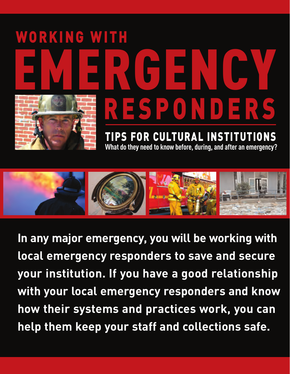# EMERGENCY WORKING WITH RESPONDERS

TIPS FOR CULTURAL INSTITUTIONS **What do they need to know before, during, and after an emergency?**



**In any major emergency, you will be working with local emergency responders to save and secure your institution. If you have a good relationship with your local emergency responders and know how their systems and practices work, you can help them keep your staff and collections safe.**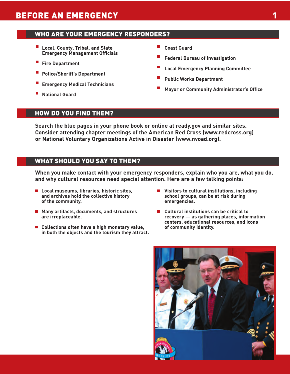#### WHO ARE YOUR EMERGENCY RESPONDERS?

- **Local, County, Tribal, and State Emergency Management Officials**
- ш **Fire Department**
- **Police/Sheriff's Department**
- **Emergency Medical Technicians**
- **National Guard**
- **Coast Guard**
- **Federal Bureau of Investigation**
- **Local Emergency Planning Committee**
- **Public Works Department**
- **Mayor or Community Administrator's Office**

#### HOW DO YOU FIND THEM?

**Search the blue pages in your phone book or online at ready.gov and similar sites. Consider attending chapter meetings of the American Red Cross (www.redcross.org) or National Voluntary Organizations Active in Disaster (www.nvoad.org).**

#### WHAT SHOULD YOU SAY TO THEM?

**When you make contact with your emergency responders, explain who you are, what you do, and why cultural resources need special attention. Here are a few talking points:**

- Local museums, libraries, historic sites, **and archives hold the collective history of the community.**
- **Many artifacts, documents, and structures are irreplaceable.**
- Collections often have a high monetary value, **in both the objects and the tourism they attract.**
- Visitors to cultural institutions, including **school groups, can be at risk during emergencies.**
- **Cultural institutions can be critical to recovery — as gathering places, information centers, educational resources, and icons of community identity.**

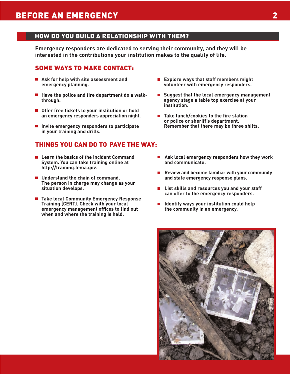#### HOW DO YOU BUILD A RELATIONSHIP WITH THEM?

**Emergency responders are dedicated to serving their community, and they will be interested in the contributions your institution makes to the quality of life.** 

#### SOME WAYS TO MAKE CONTACT:

- **Ask for help with site assessment and emergency planning.**
- Have the police and fire department do a walk**through.**
- Offer free tickets to your institution or hold **an emergency responders appreciation night.**
- **Invite emergency responders to participate in your training and drills.**

#### THINGS YOU CAN DO TO PAVE THE WAY:

- Learn the basics of the Incident Command **System. You can take training online at http://training.fema.gov.**
- Understand the chain of command. **The person in charge may change as your situation develops.**
- Take local Community Emergency Response **Training (CERT). Check with your local emergency management offices to find out when and where the training is held.**
- **Explore ways that staff members might volunteer with emergency responders.**
- Suggest that the local emergency management **agency stage a table top exercise at your institution.**
- Take lunch/cookies to the fire station **or police or sheriff's department. Remember that there may be three shifts.**
- **Ask local emergency responders how they work and communicate.**
- **Review and become familiar with your community**  $\mathcal{L}_{\mathcal{A}}$ **and state emergency response plans.**
- **List skills and resources you and your staff can offer to the emergency responders.**
- **Identify ways your institution could help the community in an emergency.**

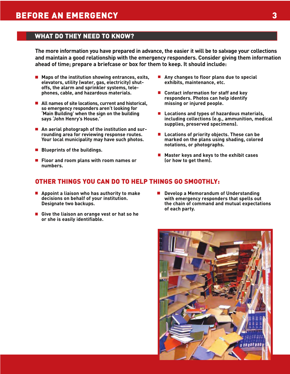#### WHAT DO THEY NEED TO KNOW?

**The more information you have prepared in advance, the easier it will be to salvage your collections and maintain a good relationship with the emergency responders. Consider giving them information ahead of time; prepare a briefcase or box for them to keep. It should include:**

- Maps of the institution showing entrances, exits, **elevators, utility (water, gas, electricity) shutoffs, the alarm and sprinkler systems, telephones, cable, and hazardous materials.**
- All names of site locations, current and historical, **so emergency responders aren't looking for 'Main Building' when the sign on the building says 'John Henry's House.'**
- **An aerial photograph of the institution and surrounding area for reviewing response routes. Your local municipality may have such photos.**
- Blueprints of the buildings.
- **Floor and room plans with room names or numbers.**
- **Any changes to floor plans due to special exhibits, maintenance, etc.**
- Contact information for staff and key **responders. Photos can help identify missing or injured people.**
- **Locations and types of hazardous materials, including collections (e.g., ammunition, medical supplies, preserved specimens).**
- Locations of priority objects. These can be **marked on the plans using shading, colored notations, or photographs.**
- Master keys and keys to the exhibit cases **(or how to get them).**

#### OTHER THINGS YOU CAN DO TO HELP THINGS GO SMOOTHLY:

- **Appoint a liaison who has authority to make decisions on behalf of your institution. Designate two backups.**
- Give the liaison an orange vest or hat so he **or she is easily identifiable.**
- **Develop a Memorandum of Understanding with emergency responders that spells out the chain of command and mutual expectations of each party.**